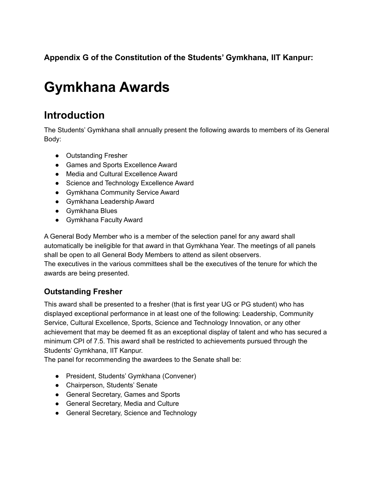# **Appendix G of the Constitution of the Students' Gymkhana, IIT Kanpur:**

# **Gymkhana Awards**

# **Introduction**

The Students' Gymkhana shall annually present the following awards to members of its General Body:

- Outstanding Fresher
- Games and Sports Excellence Award
- Media and Cultural Excellence Award
- Science and Technology Excellence Award
- Gymkhana Community Service Award
- Gymkhana Leadership Award
- Gymkhana Blues
- Gymkhana Faculty Award

A General Body Member who is a member of the selection panel for any award shall automatically be ineligible for that award in that Gymkhana Year. The meetings of all panels shall be open to all General Body Members to attend as silent observers. The executives in the various committees shall be the executives of the tenure for which the awards are being presented.

#### **Outstanding Fresher**

This award shall be presented to a fresher (that is first year UG or PG student) who has displayed exceptional performance in at least one of the following: Leadership, Community Service, Cultural Excellence, Sports, Science and Technology Innovation, or any other achievement that may be deemed fit as an exceptional display of talent and who has secured a minimum CPI of 7.5. This award shall be restricted to achievements pursued through the Students' Gymkhana, IIT Kanpur.

The panel for recommending the awardees to the Senate shall be:

- President, Students' Gymkhana (Convener)
- Chairperson, Students' Senate
- General Secretary, Games and Sports
- General Secretary, Media and Culture
- General Secretary, Science and Technology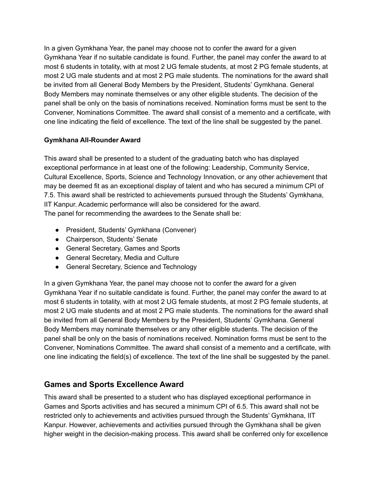In a given Gymkhana Year, the panel may choose not to confer the award for a given Gymkhana Year if no suitable candidate is found. Further, the panel may confer the award to at most 6 students in totality, with at most 2 UG female students, at most 2 PG female students, at most 2 UG male students and at most 2 PG male students. The nominations for the award shall be invited from all General Body Members by the President, Students' Gymkhana. General Body Members may nominate themselves or any other eligible students. The decision of the panel shall be only on the basis of nominations received. Nomination forms must be sent to the Convener, Nominations Committee. The award shall consist of a memento and a certificate, with one line indicating the field of excellence. The text of the line shall be suggested by the panel.

#### **Gymkhana All-Rounder Award**

This award shall be presented to a student of the graduating batch who has displayed exceptional performance in at least one of the following: Leadership, Community Service, Cultural Excellence, Sports, Science and Technology Innovation, or any other achievement that may be deemed fit as an exceptional display of talent and who has secured a minimum CPI of 7.5. This award shall be restricted to achievements pursued through the Students' Gymkhana, IIT Kanpur. Academic performance will also be considered for the award. The panel for recommending the awardees to the Senate shall be:

- President, Students' Gymkhana (Convener)
- Chairperson, Students' Senate
- General Secretary, Games and Sports
- General Secretary, Media and Culture
- General Secretary, Science and Technology

In a given Gymkhana Year, the panel may choose not to confer the award for a given Gymkhana Year if no suitable candidate is found. Further, the panel may confer the award to at most 6 students in totality, with at most 2 UG female students, at most 2 PG female students, at most 2 UG male students and at most 2 PG male students. The nominations for the award shall be invited from all General Body Members by the President, Students' Gymkhana. General Body Members may nominate themselves or any other eligible students. The decision of the panel shall be only on the basis of nominations received. Nomination forms must be sent to the Convener, Nominations Committee. The award shall consist of a memento and a certificate, with one line indicating the field(s) of excellence. The text of the line shall be suggested by the panel.

# **Games and Sports Excellence Award**

This award shall be presented to a student who has displayed exceptional performance in Games and Sports activities and has secured a minimum CPI of 6.5. This award shall not be restricted only to achievements and activities pursued through the Students' Gymkhana, IIT Kanpur. However, achievements and activities pursued through the Gymkhana shall be given higher weight in the decision-making process. This award shall be conferred only for excellence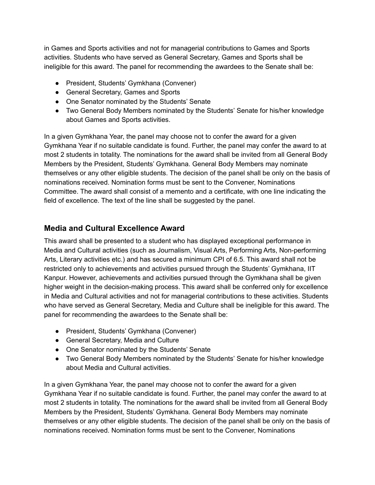in Games and Sports activities and not for managerial contributions to Games and Sports activities. Students who have served as General Secretary, Games and Sports shall be ineligible for this award. The panel for recommending the awardees to the Senate shall be:

- President, Students' Gymkhana (Convener)
- General Secretary, Games and Sports
- One Senator nominated by the Students' Senate
- Two General Body Members nominated by the Students' Senate for his/her knowledge about Games and Sports activities.

In a given Gymkhana Year, the panel may choose not to confer the award for a given Gymkhana Year if no suitable candidate is found. Further, the panel may confer the award to at most 2 students in totality. The nominations for the award shall be invited from all General Body Members by the President, Students' Gymkhana. General Body Members may nominate themselves or any other eligible students. The decision of the panel shall be only on the basis of nominations received. Nomination forms must be sent to the Convener, Nominations Committee. The award shall consist of a memento and a certificate, with one line indicating the field of excellence. The text of the line shall be suggested by the panel.

#### **Media and Cultural Excellence Award**

This award shall be presented to a student who has displayed exceptional performance in Media and Cultural activities (such as Journalism, Visual Arts, Performing Arts, Non-performing Arts, Literary activities etc.) and has secured a minimum CPI of 6.5. This award shall not be restricted only to achievements and activities pursued through the Students' Gymkhana, IIT Kanpur. However, achievements and activities pursued through the Gymkhana shall be given higher weight in the decision-making process. This award shall be conferred only for excellence in Media and Cultural activities and not for managerial contributions to these activities. Students who have served as General Secretary, Media and Culture shall be ineligible for this award. The panel for recommending the awardees to the Senate shall be:

- President, Students' Gymkhana (Convener)
- General Secretary, Media and Culture
- One Senator nominated by the Students' Senate
- Two General Body Members nominated by the Students' Senate for his/her knowledge about Media and Cultural activities.

In a given Gymkhana Year, the panel may choose not to confer the award for a given Gymkhana Year if no suitable candidate is found. Further, the panel may confer the award to at most 2 students in totality. The nominations for the award shall be invited from all General Body Members by the President, Students' Gymkhana. General Body Members may nominate themselves or any other eligible students. The decision of the panel shall be only on the basis of nominations received. Nomination forms must be sent to the Convener, Nominations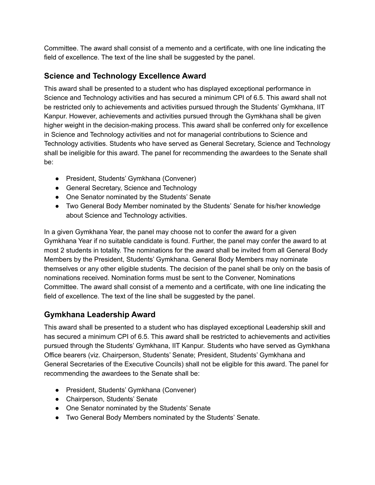Committee. The award shall consist of a memento and a certificate, with one line indicating the field of excellence. The text of the line shall be suggested by the panel.

# **Science and Technology Excellence Award**

This award shall be presented to a student who has displayed exceptional performance in Science and Technology activities and has secured a minimum CPI of 6.5. This award shall not be restricted only to achievements and activities pursued through the Students' Gymkhana, IIT Kanpur. However, achievements and activities pursued through the Gymkhana shall be given higher weight in the decision-making process. This award shall be conferred only for excellence in Science and Technology activities and not for managerial contributions to Science and Technology activities. Students who have served as General Secretary, Science and Technology shall be ineligible for this award. The panel for recommending the awardees to the Senate shall be:

- President, Students' Gymkhana (Convener)
- General Secretary, Science and Technology
- One Senator nominated by the Students' Senate
- Two General Body Member nominated by the Students' Senate for his/her knowledge about Science and Technology activities.

In a given Gymkhana Year, the panel may choose not to confer the award for a given Gymkhana Year if no suitable candidate is found. Further, the panel may confer the award to at most 2 students in totality. The nominations for the award shall be invited from all General Body Members by the President, Students' Gymkhana. General Body Members may nominate themselves or any other eligible students. The decision of the panel shall be only on the basis of nominations received. Nomination forms must be sent to the Convener, Nominations Committee. The award shall consist of a memento and a certificate, with one line indicating the field of excellence. The text of the line shall be suggested by the panel.

# **Gymkhana Leadership Award**

This award shall be presented to a student who has displayed exceptional Leadership skill and has secured a minimum CPI of 6.5. This award shall be restricted to achievements and activities pursued through the Students' Gymkhana, IIT Kanpur. Students who have served as Gymkhana Office bearers (viz. Chairperson, Students' Senate; President, Students' Gymkhana and General Secretaries of the Executive Councils) shall not be eligible for this award. The panel for recommending the awardees to the Senate shall be:

- President, Students' Gymkhana (Convener)
- Chairperson, Students' Senate
- One Senator nominated by the Students' Senate
- Two General Body Members nominated by the Students' Senate.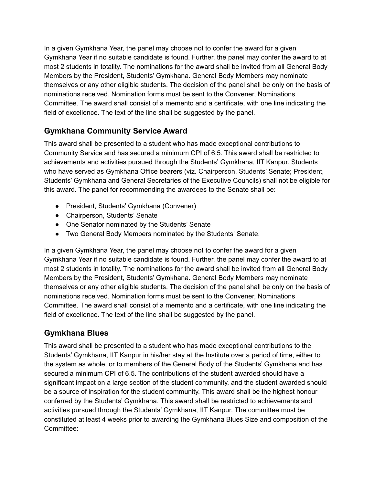In a given Gymkhana Year, the panel may choose not to confer the award for a given Gymkhana Year if no suitable candidate is found. Further, the panel may confer the award to at most 2 students in totality. The nominations for the award shall be invited from all General Body Members by the President, Students' Gymkhana. General Body Members may nominate themselves or any other eligible students. The decision of the panel shall be only on the basis of nominations received. Nomination forms must be sent to the Convener, Nominations Committee. The award shall consist of a memento and a certificate, with one line indicating the field of excellence. The text of the line shall be suggested by the panel.

# **Gymkhana Community Service Award**

This award shall be presented to a student who has made exceptional contributions to Community Service and has secured a minimum CPI of 6.5. This award shall be restricted to achievements and activities pursued through the Students' Gymkhana, IIT Kanpur. Students who have served as Gymkhana Office bearers (viz. Chairperson, Students' Senate; President, Students' Gymkhana and General Secretaries of the Executive Councils) shall not be eligible for this award. The panel for recommending the awardees to the Senate shall be:

- President, Students' Gymkhana (Convener)
- Chairperson, Students' Senate
- One Senator nominated by the Students' Senate
- Two General Body Members nominated by the Students' Senate.

In a given Gymkhana Year, the panel may choose not to confer the award for a given Gymkhana Year if no suitable candidate is found. Further, the panel may confer the award to at most 2 students in totality. The nominations for the award shall be invited from all General Body Members by the President, Students' Gymkhana. General Body Members may nominate themselves or any other eligible students. The decision of the panel shall be only on the basis of nominations received. Nomination forms must be sent to the Convener, Nominations Committee. The award shall consist of a memento and a certificate, with one line indicating the field of excellence. The text of the line shall be suggested by the panel.

#### **Gymkhana Blues**

This award shall be presented to a student who has made exceptional contributions to the Students' Gymkhana, IIT Kanpur in his/her stay at the Institute over a period of time, either to the system as whole, or to members of the General Body of the Students' Gymkhana and has secured a minimum CPI of 6.5. The contributions of the student awarded should have a significant impact on a large section of the student community, and the student awarded should be a source of inspiration for the student community. This award shall be the highest honour conferred by the Students' Gymkhana. This award shall be restricted to achievements and activities pursued through the Students' Gymkhana, IIT Kanpur. The committee must be constituted at least 4 weeks prior to awarding the Gymkhana Blues Size and composition of the Committee: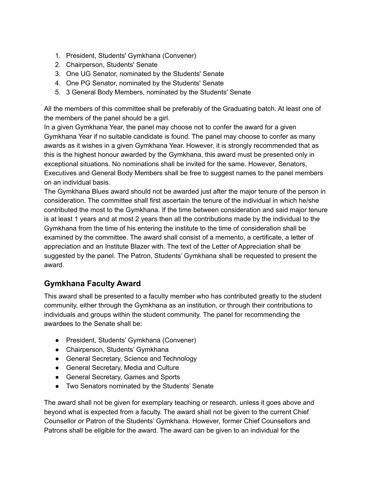- 1. President, Students' Gymkhana (Convener)
- 2. Chairperson, Students' Senate
- 3. One UG Senator, nominated by the Students' Senate
- 4. One PG Senator, nominated by the Students' Senate
- 5. 3 General Body Members, nominated by the Students' Senate

All the members of this committee shall be preferably of the Graduating batch. At least one of the members of the panel should be a girl.

In a given Gymkhana Year, the panel may choose not to confer the award for a given Gymkhana Year if no suitable candidate is found. The panel may choose to confer as many awards as it wishes in a given Gymkhana Year. However, it is strongly recommended that as this is the highest honour awarded by the Gymkhana, this award must be presented only in exceptional situations. No nominations shall be invited for the same. However, Senators, Executives and General Body Members shall be free to suggest names to the panel members on an individual basis.

The Gymkhana Blues award should not be awarded just after the major tenure of the person in consideration. The committee shall first ascertain the tenure of the individual in which he/she contributed the most to the Gymkhana. If the time between consideration and said major tenure is at least 1 years and at most 2 years then all the contributions made by the individual to the Gymkhana from the time of his entering the institute to the time of consideration shall be examined by the committee. The award shall consist of a memento, a certificate, a letter of appreciation and an Institute Blazer with. The text of the Letter of Appreciation shall be suggested by the panel. The Patron, Students' Gymkhana shall be requested to present the award.

# **Gymkhana Faculty Award**

This award shall be presented to a faculty member who has contributed greatly to the student community, either through the Gymkhana as an institution, or through their contributions to individuals and groups within the student community. The panel for recommending the awardees to the Senate shall be:

- President, Students' Gymkhana (Convener)
- Chairperson, Students' Gymkhana
- General Secretary, Science and Technology
- General Secretary, Media and Culture
- General Secretary, Games and Sports
- Two Senators nominated by the Students' Senate

The award shall not be given for exemplary teaching or research, unless it goes above and beyond what is expected from a faculty. The award shall not be given to the current Chief Counsellor or Patron of the Students' Gymkhana. However, former Chief Counsellors and Patrons shall be eligible for the award. The award can be given to an individual for the